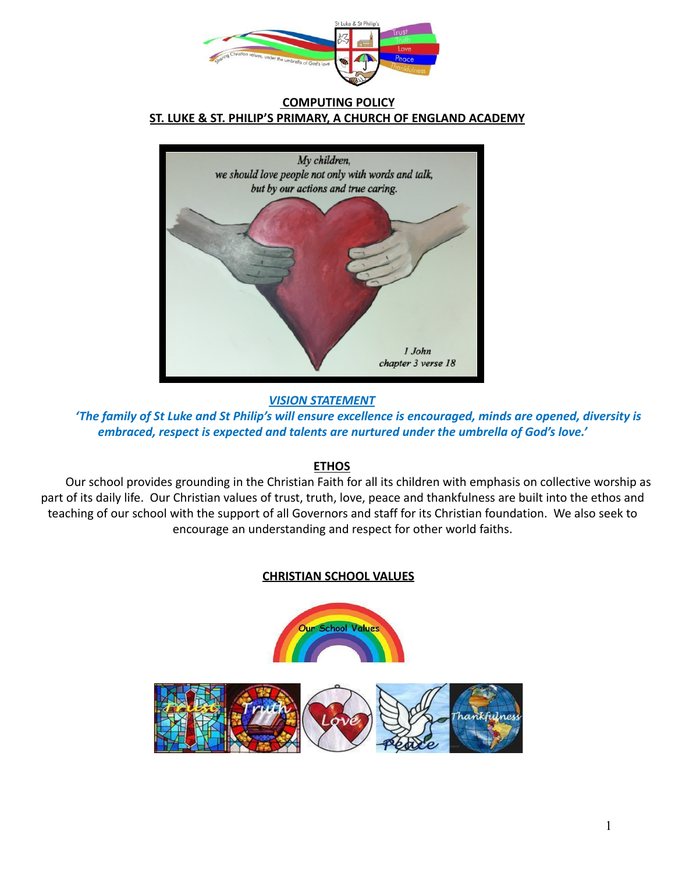

### **COMPUTING POLICY ST. LUKE & ST. PHILIP'S PRIMARY, A CHURCH OF ENGLAND ACADEMY**



*VISION STATEMENT*

*'The family of St Luke and St Philip's will ensure excellence is encouraged, minds are opened, diversity is embraced, respect is expected and talents are nurtured under the umbrella of God's love.'*

## **ETHOS**

Our school provides grounding in the Christian Faith for all its children with emphasis on collective worship as part of its daily life. Our Christian values of trust, truth, love, peace and thankfulness are built into the ethos and teaching of our school with the support of all Governors and staff for its Christian foundation. We also seek to encourage an understanding and respect for other world faiths.

# **CHRISTIAN SCHOOL VALUES**

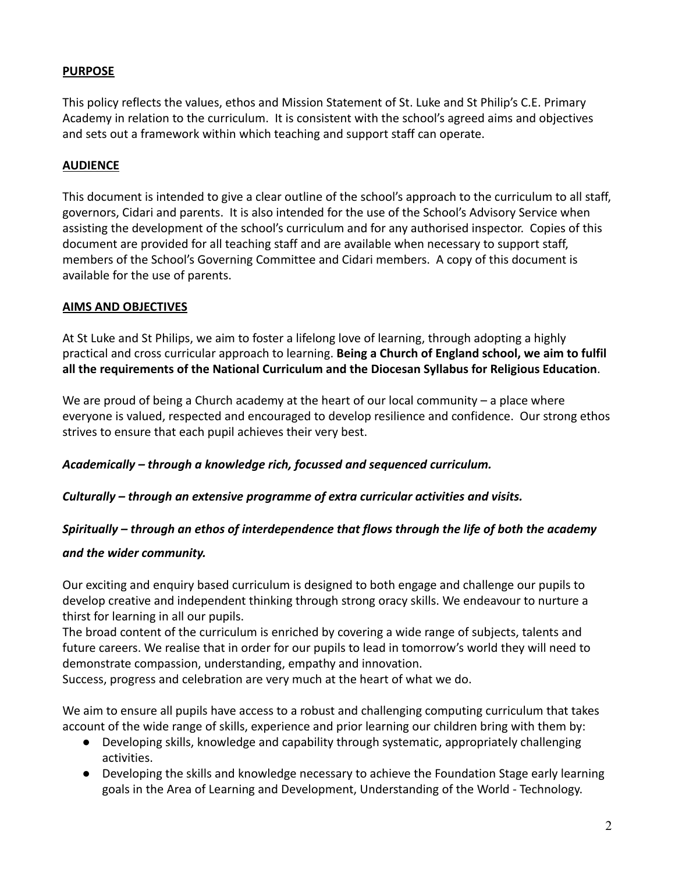## **PURPOSE**

This policy reflects the values, ethos and Mission Statement of St. Luke and St Philip's C.E. Primary Academy in relation to the curriculum. It is consistent with the school's agreed aims and objectives and sets out a framework within which teaching and support staff can operate.

### **AUDIENCE**

This document is intended to give a clear outline of the school's approach to the curriculum to all staff, governors, Cidari and parents. It is also intended for the use of the School's Advisory Service when assisting the development of the school's curriculum and for any authorised inspector. Copies of this document are provided for all teaching staff and are available when necessary to support staff, members of the School's Governing Committee and Cidari members. A copy of this document is available for the use of parents.

### **AIMS AND OBJECTIVES**

At St Luke and St Philips, we aim to foster a lifelong love of learning, through adopting a highly practical and cross curricular approach to learning. **Being a Church of England school, we aim to fulfil all the requirements of the National Curriculum and the Diocesan Syllabus for Religious Education**.

We are proud of being a Church academy at the heart of our local community  $-$  a place where everyone is valued, respected and encouraged to develop resilience and confidence. Our strong ethos strives to ensure that each pupil achieves their very best.

*Academically – through a knowledge rich, focussed and sequenced curriculum.*

*Culturally – through an extensive programme of extra curricular activities and visits.*

## *Spiritually – through an ethos of interdependence that flows through the life of both the academy*

### *and the wider community.*

Our exciting and enquiry based curriculum is designed to both engage and challenge our pupils to develop creative and independent thinking through strong oracy skills. We endeavour to nurture a thirst for learning in all our pupils.

The broad content of the curriculum is enriched by covering a wide range of subjects, talents and future careers. We realise that in order for our pupils to lead in tomorrow's world they will need to demonstrate compassion, understanding, empathy and innovation.

Success, progress and celebration are very much at the heart of what we do.

We aim to ensure all pupils have access to a robust and challenging computing curriculum that takes account of the wide range of skills, experience and prior learning our children bring with them by:

- Developing skills, knowledge and capability through systematic, appropriately challenging activities.
- Developing the skills and knowledge necessary to achieve the Foundation Stage early learning goals in the Area of Learning and Development, Understanding of the World - Technology.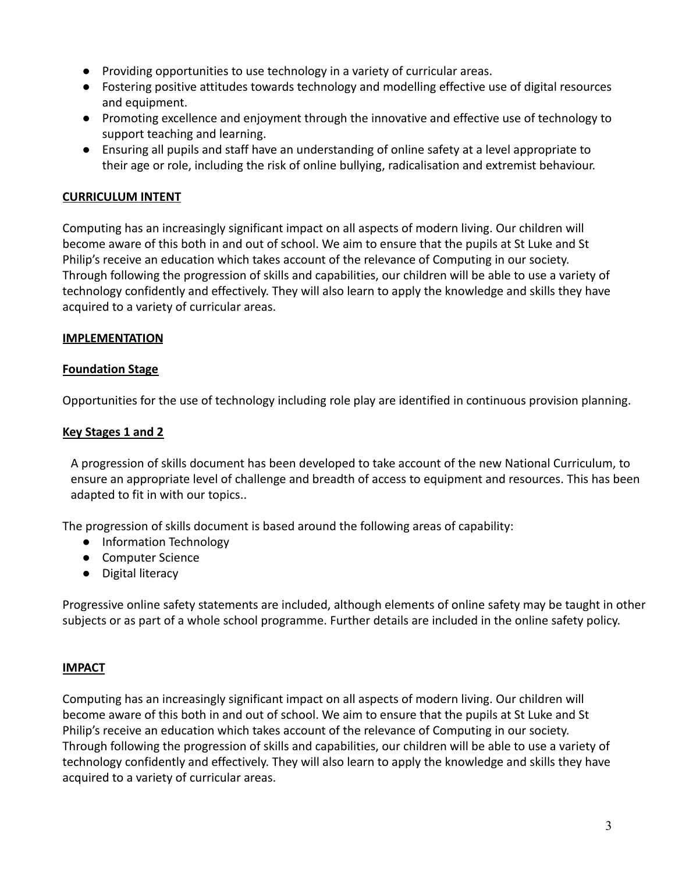- Providing opportunities to use technology in a variety of curricular areas.
- Fostering positive attitudes towards technology and modelling effective use of digital resources and equipment.
- Promoting excellence and enjoyment through the innovative and effective use of technology to support teaching and learning.
- Ensuring all pupils and staff have an understanding of online safety at a level appropriate to their age or role, including the risk of online bullying, radicalisation and extremist behaviour.

# **CURRICULUM INTENT**

Computing has an increasingly significant impact on all aspects of modern living. Our children will become aware of this both in and out of school. We aim to ensure that the pupils at St Luke and St Philip's receive an education which takes account of the relevance of Computing in our society. Through following the progression of skills and capabilities, our children will be able to use a variety of technology confidently and effectively. They will also learn to apply the knowledge and skills they have acquired to a variety of curricular areas.

# **IMPLEMENTATION**

# **Foundation Stage**

Opportunities for the use of technology including role play are identified in continuous provision planning.

## **Key Stages 1 and 2**

A progression of skills document has been developed to take account of the new National Curriculum, to ensure an appropriate level of challenge and breadth of access to equipment and resources. This has been adapted to fit in with our topics..

The progression of skills document is based around the following areas of capability:

- Information Technology
- Computer Science
- Digital literacy

Progressive online safety statements are included, although elements of online safety may be taught in other subjects or as part of a whole school programme. Further details are included in the online safety policy.

## **IMPACT**

Computing has an increasingly significant impact on all aspects of modern living. Our children will become aware of this both in and out of school. We aim to ensure that the pupils at St Luke and St Philip's receive an education which takes account of the relevance of Computing in our society. Through following the progression of skills and capabilities, our children will be able to use a variety of technology confidently and effectively. They will also learn to apply the knowledge and skills they have acquired to a variety of curricular areas.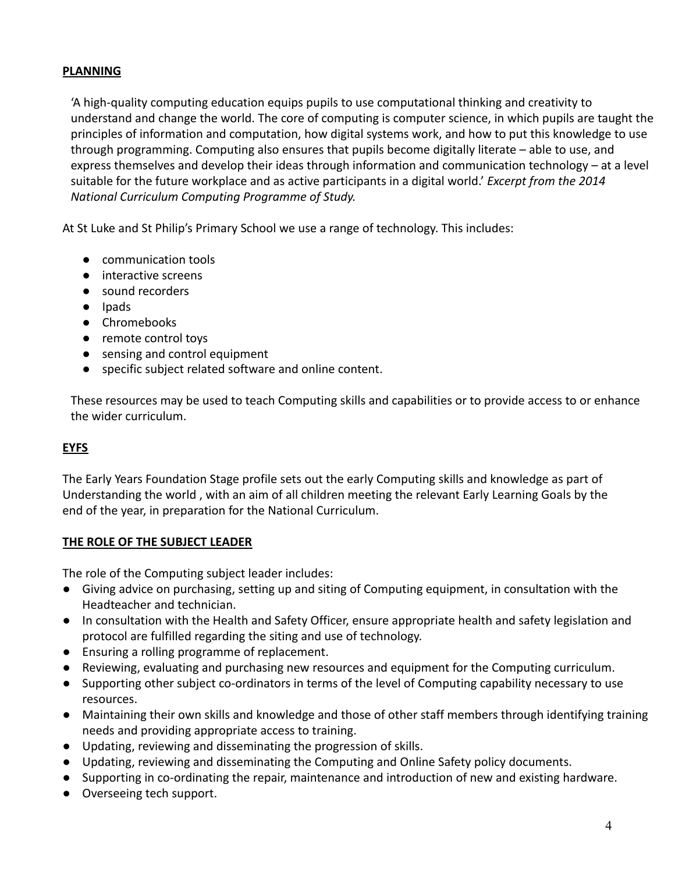### **PLANNING**

'A high-quality computing education equips pupils to use computational thinking and creativity to understand and change the world. The core of computing is computer science, in which pupils are taught the principles of information and computation, how digital systems work, and how to put this knowledge to use through programming. Computing also ensures that pupils become digitally literate – able to use, and express themselves and develop their ideas through information and communication technology – at a level suitable for the future workplace and as active participants in a digital world.' *Excerpt from the 2014 National Curriculum Computing Programme of Study.*

At St Luke and St Philip's Primary School we use a range of technology. This includes:

- communication tools
- interactive screens
- sound recorders
- Ipads
- Chromebooks
- remote control toys
- sensing and control equipment
- specific subject related software and online content.

These resources may be used to teach Computing skills and capabilities or to provide access to or enhance the wider curriculum.

## **EYFS**

The Early Years Foundation Stage profile sets out the early Computing skills and knowledge as part of Understanding the world , with an aim of all children meeting the relevant Early Learning Goals by the end of the year, in preparation for the National Curriculum.

### **THE ROLE OF THE SUBJECT LEADER**

The role of the Computing subject leader includes:

- Giving advice on purchasing, setting up and siting of Computing equipment, in consultation with the Headteacher and technician.
- In consultation with the Health and Safety Officer, ensure appropriate health and safety legislation and protocol are fulfilled regarding the siting and use of technology.
- Ensuring a rolling programme of replacement.
- Reviewing, evaluating and purchasing new resources and equipment for the Computing curriculum.
- Supporting other subject co-ordinators in terms of the level of Computing capability necessary to use resources.
- Maintaining their own skills and knowledge and those of other staff members through identifying training needs and providing appropriate access to training.
- Updating, reviewing and disseminating the progression of skills.
- Updating, reviewing and disseminating the Computing and Online Safety policy documents.
- Supporting in co-ordinating the repair, maintenance and introduction of new and existing hardware.
- Overseeing tech support.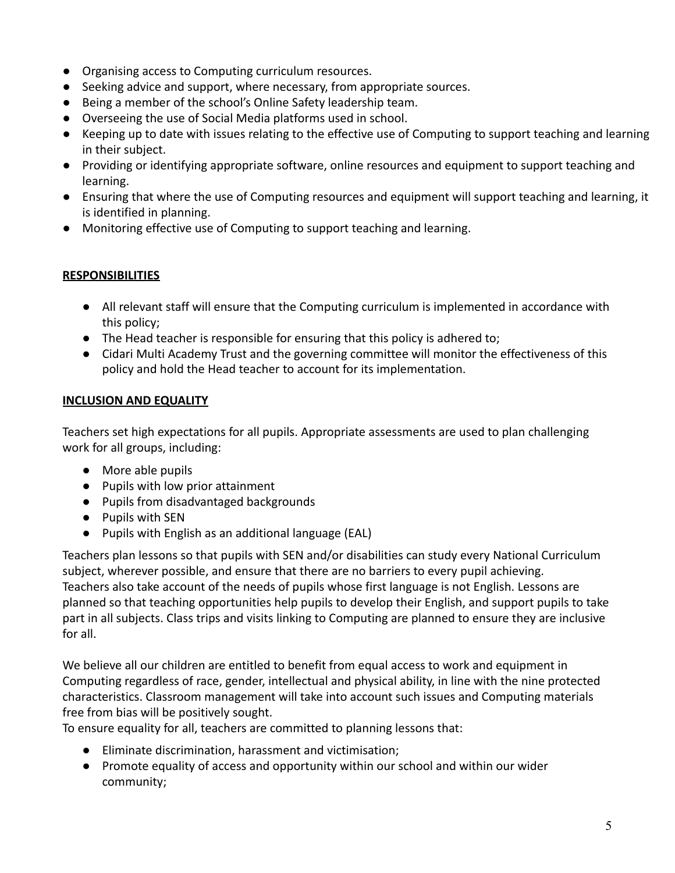- Organising access to Computing curriculum resources.
- Seeking advice and support, where necessary, from appropriate sources.
- Being a member of the school's Online Safety leadership team.
- Overseeing the use of Social Media platforms used in school.
- Keeping up to date with issues relating to the effective use of Computing to support teaching and learning in their subject.
- Providing or identifying appropriate software, online resources and equipment to support teaching and learning.
- Ensuring that where the use of Computing resources and equipment will support teaching and learning, it is identified in planning.
- Monitoring effective use of Computing to support teaching and learning.

## **RESPONSIBILITIES**

- All relevant staff will ensure that the Computing curriculum is implemented in accordance with this policy;
- The Head teacher is responsible for ensuring that this policy is adhered to;
- Cidari Multi Academy Trust and the governing committee will monitor the effectiveness of this policy and hold the Head teacher to account for its implementation.

## **INCLUSION AND EQUALITY**

Teachers set high expectations for all pupils. Appropriate assessments are used to plan challenging work for all groups, including:

- More able pupils
- Pupils with low prior attainment
- Pupils from disadvantaged backgrounds
- Pupils with SEN
- Pupils with English as an additional language (EAL)

Teachers plan lessons so that pupils with SEN and/or disabilities can study every National Curriculum subject, wherever possible, and ensure that there are no barriers to every pupil achieving. Teachers also take account of the needs of pupils whose first language is not English. Lessons are planned so that teaching opportunities help pupils to develop their English, and support pupils to take part in all subjects. Class trips and visits linking to Computing are planned to ensure they are inclusive for all.

We believe all our children are entitled to benefit from equal access to work and equipment in Computing regardless of race, gender, intellectual and physical ability, in line with the nine protected characteristics. Classroom management will take into account such issues and Computing materials free from bias will be positively sought.

To ensure equality for all, teachers are committed to planning lessons that:

- Eliminate discrimination, harassment and victimisation;
- Promote equality of access and opportunity within our school and within our wider community;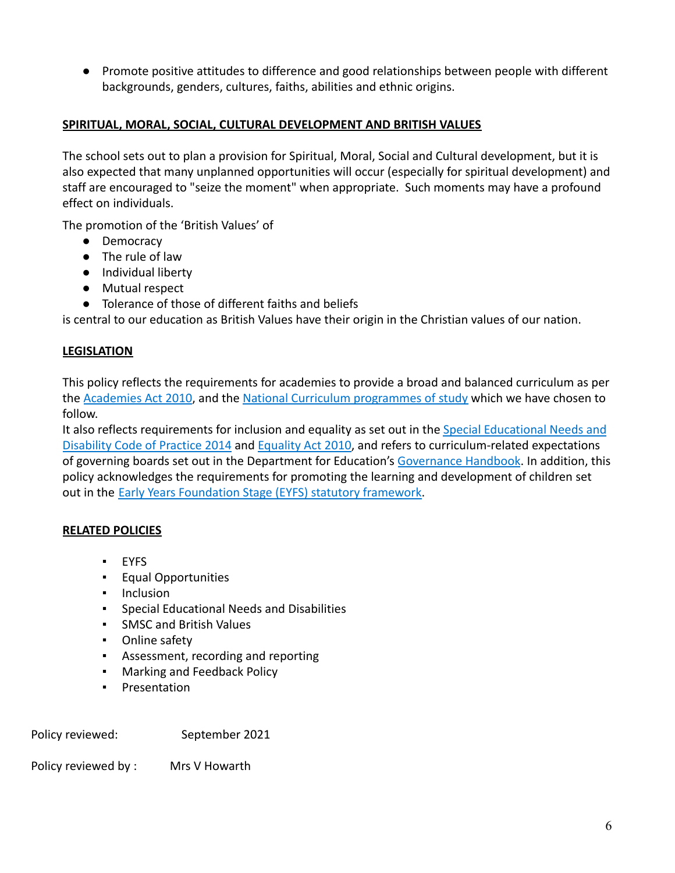● Promote positive attitudes to difference and good relationships between people with different backgrounds, genders, cultures, faiths, abilities and ethnic origins.

### **SPIRITUAL, MORAL, SOCIAL, CULTURAL DEVELOPMENT AND BRITISH VALUES**

The school sets out to plan a provision for Spiritual, Moral, Social and Cultural development, but it is also expected that many unplanned opportunities will occur (especially for spiritual development) and staff are encouraged to "seize the moment" when appropriate. Such moments may have a profound effect on individuals.

The promotion of the 'British Values' of

- Democracy
- The rule of law
- Individual liberty
- Mutual respect
- Tolerance of those of different faiths and beliefs

is central to our education as British Values have their origin in the Christian values of our nation.

### **LEGISLATION**

This policy reflects the requirements for academies to provide a broad and balanced curriculum as per the [Academies Act 2010](http://www.legislation.gov.uk/ukpga/2010/32/section/1A), and the National Curriculum [programmes of study](https://www.gov.uk/government/collections/national-curriculum) which we have chosen to follow.

It also reflects requirements for inclusion and equality as set out in the [Special Educational Needs and](https://www.gov.uk/government/publications/send-code-of-practice-0-to-25) [Disability Code of Practice 2014](https://www.gov.uk/government/publications/send-code-of-practice-0-to-25) and [Equality Act](http://www.legislation.gov.uk/ukpga/2010/15/part/6/chapter/1) 2010, and refers to curriculum-related expectations of governing boards set out in the Department for Education's [Governance Handbook](https://www.gov.uk/government/publications/governance-handbook). In addition, this policy acknowledges the requirements for promoting the learning and development of children set out in the [Early Years Foundation Stage \(EYFS\) statutory](https://www.gov.uk/government/publications/early-years-foundation-stage-framework--2) framework.

### **RELATED POLICIES**

- **EYFS**
- Equal Opportunities
- Inclusion
- Special Educational Needs and Disabilities
- SMSC and British Values
- Online safety
- Assessment, recording and reporting
- Marking and Feedback Policy
- Presentation

Policy reviewed: September 2021

Policy reviewed by : Mrs V Howarth